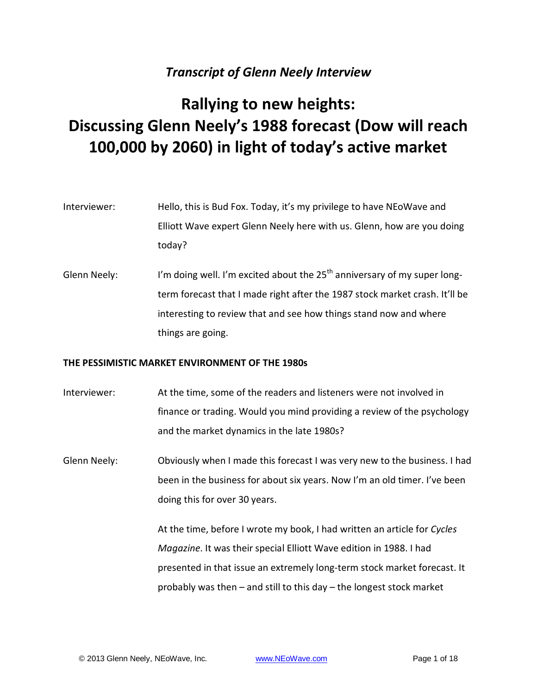# *Transcript of Glenn Neely Interview*

# **Rallying to new heights: Discussing Glenn Neely's 1988 forecast (Dow will reach 100,000 by 2060) in light of today's active market**

- Interviewer: Hello, this is Bud Fox. Today, it's my privilege to have NEoWave and Elliott Wave expert Glenn Neely here with us. Glenn, how are you doing today?
- Glenn Neely: I'm doing well. I'm excited about the  $25<sup>th</sup>$  anniversary of my super longterm forecast that I made right after the 1987 stock market crash. It'll be interesting to review that and see how things stand now and where things are going.

## **THE PESSIMISTIC MARKET ENVIRONMENT OF THE 1980s**

- Interviewer: At the time, some of the readers and listeners were not involved in finance or trading. Would you mind providing a review of the psychology and the market dynamics in the late 1980s?
- Glenn Neely: Obviously when I made this forecast I was very new to the business. I had been in the business for about six years. Now I'm an old timer. I've been doing this for over 30 years.

At the time, before I wrote my book, I had written an article for *Cycles Magazine*. It was their special Elliott Wave edition in 1988. I had presented in that issue an extremely long-term stock market forecast. It probably was then – and still to this day – the longest stock market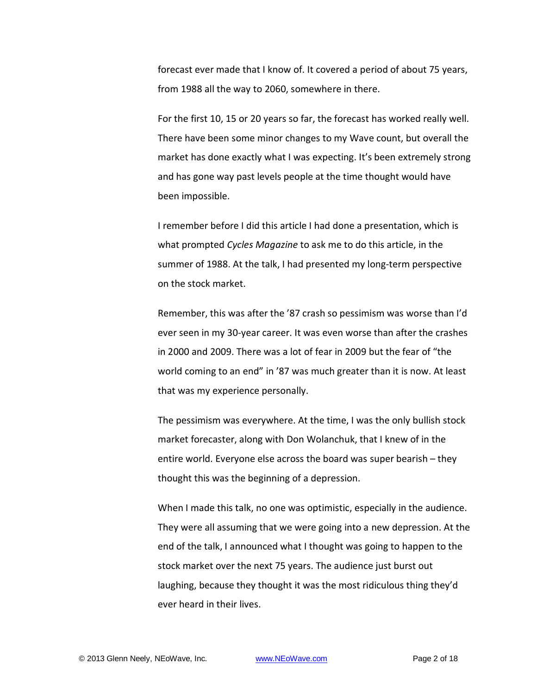forecast ever made that I know of. It covered a period of about 75 years, from 1988 all the way to 2060, somewhere in there.

For the first 10, 15 or 20 years so far, the forecast has worked really well. There have been some minor changes to my Wave count, but overall the market has done exactly what I was expecting. It's been extremely strong and has gone way past levels people at the time thought would have been impossible.

I remember before I did this article I had done a presentation, which is what prompted *Cycles Magazine* to ask me to do this article, in the summer of 1988. At the talk, I had presented my long-term perspective on the stock market.

Remember, this was after the '87 crash so pessimism was worse than I'd ever seen in my 30-year career. It was even worse than after the crashes in 2000 and 2009. There was a lot of fear in 2009 but the fear of "the world coming to an end" in '87 was much greater than it is now. At least that was my experience personally.

The pessimism was everywhere. At the time, I was the only bullish stock market forecaster, along with Don Wolanchuk, that I knew of in the entire world. Everyone else across the board was super bearish – they thought this was the beginning of a depression.

When I made this talk, no one was optimistic, especially in the audience. They were all assuming that we were going into a new depression. At the end of the talk, I announced what I thought was going to happen to the stock market over the next 75 years. The audience just burst out laughing, because they thought it was the most ridiculous thing they'd ever heard in their lives.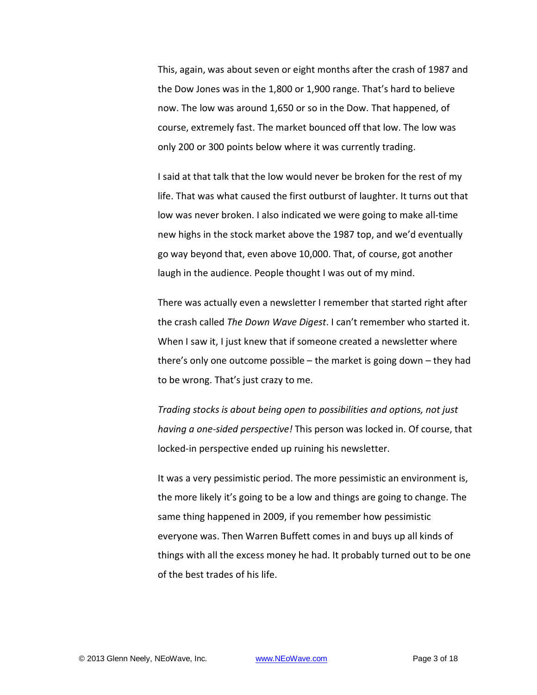This, again, was about seven or eight months after the crash of 1987 and the Dow Jones was in the 1,800 or 1,900 range. That's hard to believe now. The low was around 1,650 or so in the Dow. That happened, of course, extremely fast. The market bounced off that low. The low was only 200 or 300 points below where it was currently trading.

I said at that talk that the low would never be broken for the rest of my life. That was what caused the first outburst of laughter. It turns out that low was never broken. I also indicated we were going to make all-time new highs in the stock market above the 1987 top, and we'd eventually go way beyond that, even above 10,000. That, of course, got another laugh in the audience. People thought I was out of my mind.

There was actually even a newsletter I remember that started right after the crash called *The Down Wave Digest*. I can't remember who started it. When I saw it, I just knew that if someone created a newsletter where there's only one outcome possible – the market is going down – they had to be wrong. That's just crazy to me.

*Trading stocks is about being open to possibilities and options, not just having a one-sided perspective!* This person was locked in. Of course, that locked-in perspective ended up ruining his newsletter.

It was a very pessimistic period. The more pessimistic an environment is, the more likely it's going to be a low and things are going to change. The same thing happened in 2009, if you remember how pessimistic everyone was. Then Warren Buffett comes in and buys up all kinds of things with all the excess money he had. It probably turned out to be one of the best trades of his life.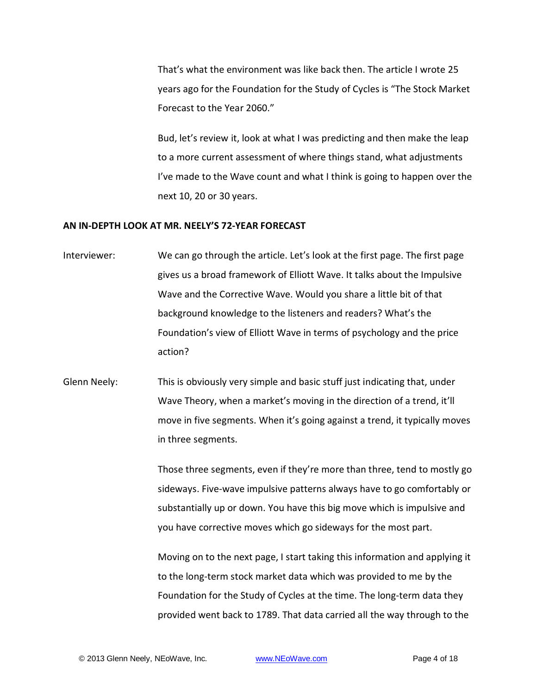That's what the environment was like back then. The article I wrote 25 years ago for the Foundation for the Study of Cycles is "The Stock Market Forecast to the Year 2060."

Bud, let's review it, look at what I was predicting and then make the leap to a more current assessment of where things stand, what adjustments I've made to the Wave count and what I think is going to happen over the next 10, 20 or 30 years.

#### **AN IN-DEPTH LOOK AT MR. NEELY'S 72-YEAR FORECAST**

- Interviewer: We can go through the article. Let's look at the first page. The first page gives us a broad framework of Elliott Wave. It talks about the Impulsive Wave and the Corrective Wave. Would you share a little bit of that background knowledge to the listeners and readers? What's the Foundation's view of Elliott Wave in terms of psychology and the price action?
- Glenn Neely: This is obviously very simple and basic stuff just indicating that, under Wave Theory, when a market's moving in the direction of a trend, it'll move in five segments. When it's going against a trend, it typically moves in three segments.

Those three segments, even if they're more than three, tend to mostly go sideways. Five-wave impulsive patterns always have to go comfortably or substantially up or down. You have this big move which is impulsive and you have corrective moves which go sideways for the most part.

Moving on to the next page, I start taking this information and applying it to the long-term stock market data which was provided to me by the Foundation for the Study of Cycles at the time. The long-term data they provided went back to 1789. That data carried all the way through to the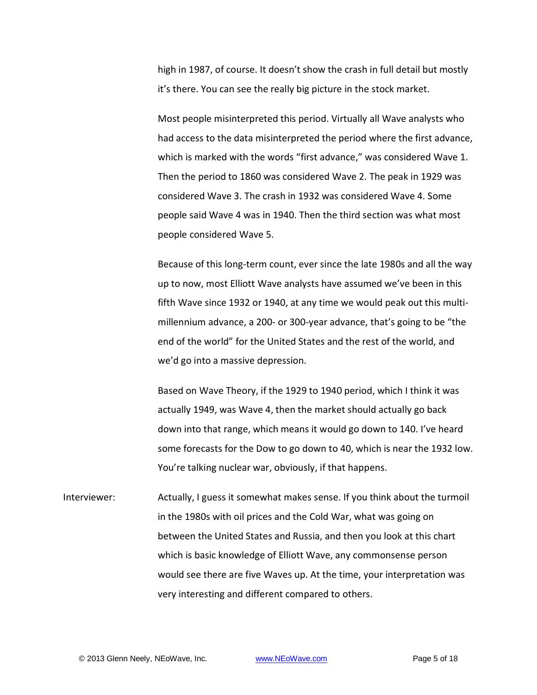high in 1987, of course. It doesn't show the crash in full detail but mostly it's there. You can see the really big picture in the stock market.

Most people misinterpreted this period. Virtually all Wave analysts who had access to the data misinterpreted the period where the first advance, which is marked with the words "first advance," was considered Wave 1. Then the period to 1860 was considered Wave 2. The peak in 1929 was considered Wave 3. The crash in 1932 was considered Wave 4. Some people said Wave 4 was in 1940. Then the third section was what most people considered Wave 5.

Because of this long-term count, ever since the late 1980s and all the way up to now, most Elliott Wave analysts have assumed we've been in this fifth Wave since 1932 or 1940, at any time we would peak out this multimillennium advance, a 200- or 300-year advance, that's going to be "the end of the world" for the United States and the rest of the world, and we'd go into a massive depression.

Based on Wave Theory, if the 1929 to 1940 period, which I think it was actually 1949, was Wave 4, then the market should actually go back down into that range, which means it would go down to 140. I've heard some forecasts for the Dow to go down to 40, which is near the 1932 low. You're talking nuclear war, obviously, if that happens.

Interviewer: Actually, I guess it somewhat makes sense. If you think about the turmoil in the 1980s with oil prices and the Cold War, what was going on between the United States and Russia, and then you look at this chart which is basic knowledge of Elliott Wave, any commonsense person would see there are five Waves up. At the time, your interpretation was very interesting and different compared to others.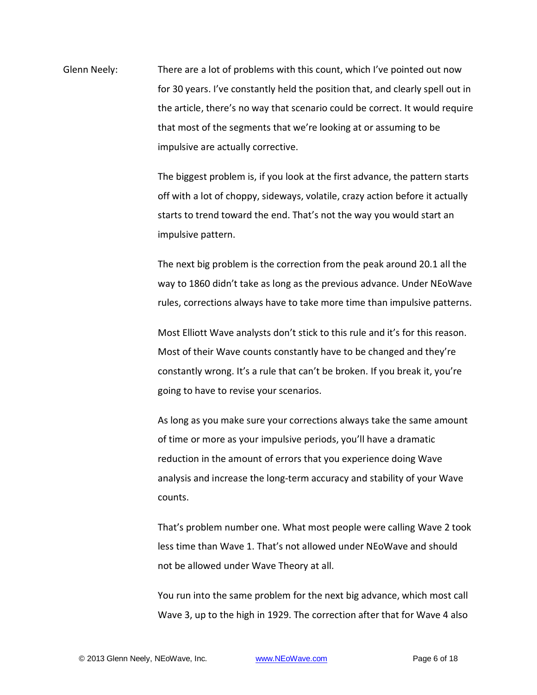Glenn Neely: There are a lot of problems with this count, which I've pointed out now for 30 years. I've constantly held the position that, and clearly spell out in the article, there's no way that scenario could be correct. It would require that most of the segments that we're looking at or assuming to be impulsive are actually corrective.

> The biggest problem is, if you look at the first advance, the pattern starts off with a lot of choppy, sideways, volatile, crazy action before it actually starts to trend toward the end. That's not the way you would start an impulsive pattern.

> The next big problem is the correction from the peak around 20.1 all the way to 1860 didn't take as long as the previous advance. Under NEoWave rules, corrections always have to take more time than impulsive patterns.

Most Elliott Wave analysts don't stick to this rule and it's for this reason. Most of their Wave counts constantly have to be changed and they're constantly wrong. It's a rule that can't be broken. If you break it, you're going to have to revise your scenarios.

As long as you make sure your corrections always take the same amount of time or more as your impulsive periods, you'll have a dramatic reduction in the amount of errors that you experience doing Wave analysis and increase the long-term accuracy and stability of your Wave counts.

That's problem number one. What most people were calling Wave 2 took less time than Wave 1. That's not allowed under NEoWave and should not be allowed under Wave Theory at all.

You run into the same problem for the next big advance, which most call Wave 3, up to the high in 1929. The correction after that for Wave 4 also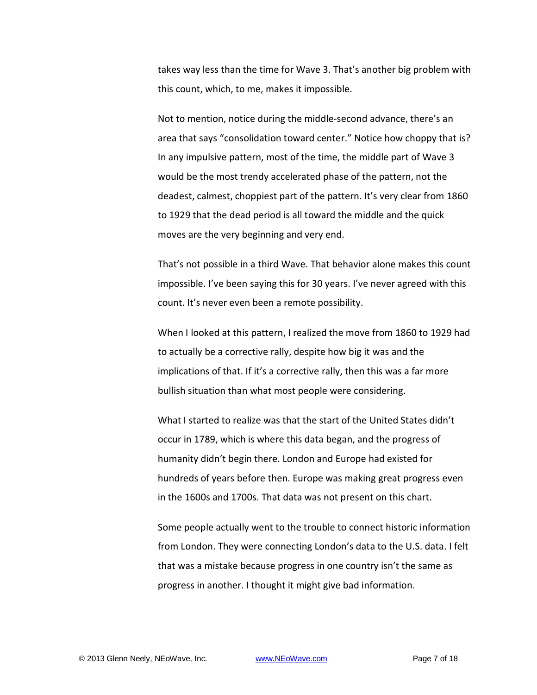takes way less than the time for Wave 3. That's another big problem with this count, which, to me, makes it impossible.

Not to mention, notice during the middle-second advance, there's an area that says "consolidation toward center." Notice how choppy that is? In any impulsive pattern, most of the time, the middle part of Wave 3 would be the most trendy accelerated phase of the pattern, not the deadest, calmest, choppiest part of the pattern. It's very clear from 1860 to 1929 that the dead period is all toward the middle and the quick moves are the very beginning and very end.

That's not possible in a third Wave. That behavior alone makes this count impossible. I've been saying this for 30 years. I've never agreed with this count. It's never even been a remote possibility.

When I looked at this pattern, I realized the move from 1860 to 1929 had to actually be a corrective rally, despite how big it was and the implications of that. If it's a corrective rally, then this was a far more bullish situation than what most people were considering.

What I started to realize was that the start of the United States didn't occur in 1789, which is where this data began, and the progress of humanity didn't begin there. London and Europe had existed for hundreds of years before then. Europe was making great progress even in the 1600s and 1700s. That data was not present on this chart.

Some people actually went to the trouble to connect historic information from London. They were connecting London's data to the U.S. data. I felt that was a mistake because progress in one country isn't the same as progress in another. I thought it might give bad information.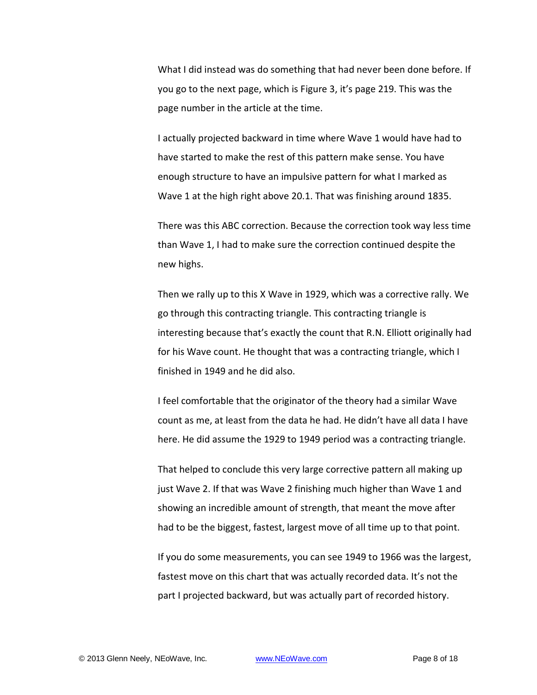What I did instead was do something that had never been done before. If you go to the next page, which is Figure 3, it's page 219. This was the page number in the article at the time.

I actually projected backward in time where Wave 1 would have had to have started to make the rest of this pattern make sense. You have enough structure to have an impulsive pattern for what I marked as Wave 1 at the high right above 20.1. That was finishing around 1835.

There was this ABC correction. Because the correction took way less time than Wave 1, I had to make sure the correction continued despite the new highs.

Then we rally up to this X Wave in 1929, which was a corrective rally. We go through this contracting triangle. This contracting triangle is interesting because that's exactly the count that R.N. Elliott originally had for his Wave count. He thought that was a contracting triangle, which I finished in 1949 and he did also.

I feel comfortable that the originator of the theory had a similar Wave count as me, at least from the data he had. He didn't have all data I have here. He did assume the 1929 to 1949 period was a contracting triangle.

That helped to conclude this very large corrective pattern all making up just Wave 2. If that was Wave 2 finishing much higher than Wave 1 and showing an incredible amount of strength, that meant the move after had to be the biggest, fastest, largest move of all time up to that point.

If you do some measurements, you can see 1949 to 1966 was the largest, fastest move on this chart that was actually recorded data. It's not the part I projected backward, but was actually part of recorded history.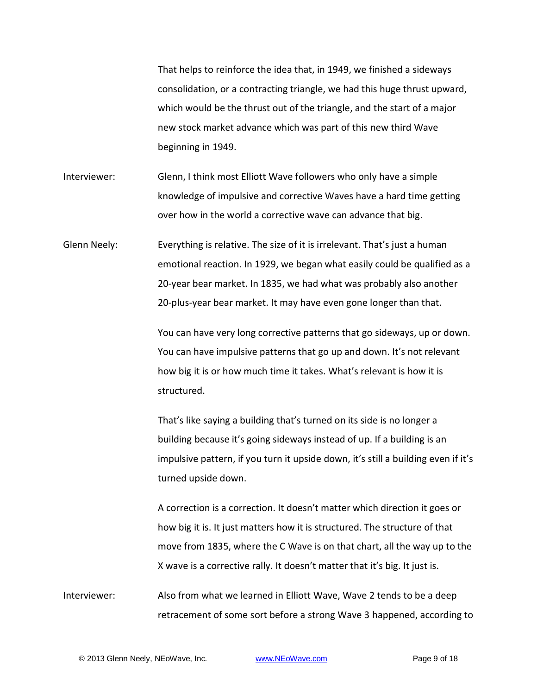That helps to reinforce the idea that, in 1949, we finished a sideways consolidation, or a contracting triangle, we had this huge thrust upward, which would be the thrust out of the triangle, and the start of a major new stock market advance which was part of this new third Wave beginning in 1949.

- Interviewer: Glenn, I think most Elliott Wave followers who only have a simple knowledge of impulsive and corrective Waves have a hard time getting over how in the world a corrective wave can advance that big.
- Glenn Neely: Everything is relative. The size of it is irrelevant. That's just a human emotional reaction. In 1929, we began what easily could be qualified as a 20-year bear market. In 1835, we had what was probably also another 20-plus-year bear market. It may have even gone longer than that.

You can have very long corrective patterns that go sideways, up or down. You can have impulsive patterns that go up and down. It's not relevant how big it is or how much time it takes. What's relevant is how it is structured.

That's like saying a building that's turned on its side is no longer a building because it's going sideways instead of up. If a building is an impulsive pattern, if you turn it upside down, it's still a building even if it's turned upside down.

A correction is a correction. It doesn't matter which direction it goes or how big it is. It just matters how it is structured. The structure of that move from 1835, where the C Wave is on that chart, all the way up to the X wave is a corrective rally. It doesn't matter that it's big. It just is.

Interviewer: Also from what we learned in Elliott Wave, Wave 2 tends to be a deep retracement of some sort before a strong Wave 3 happened, according to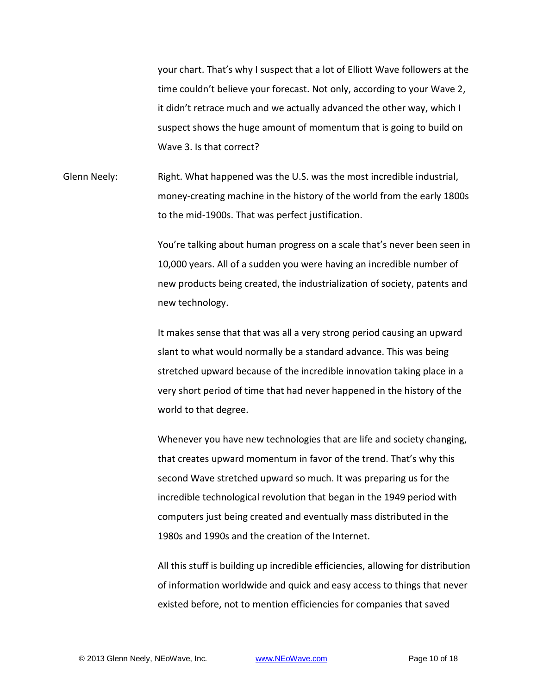your chart. That's why I suspect that a lot of Elliott Wave followers at the time couldn't believe your forecast. Not only, according to your Wave 2, it didn't retrace much and we actually advanced the other way, which I suspect shows the huge amount of momentum that is going to build on Wave 3. Is that correct?

Glenn Neely: Right. What happened was the U.S. was the most incredible industrial, money-creating machine in the history of the world from the early 1800s to the mid-1900s. That was perfect justification.

> You're talking about human progress on a scale that's never been seen in 10,000 years. All of a sudden you were having an incredible number of new products being created, the industrialization of society, patents and new technology.

It makes sense that that was all a very strong period causing an upward slant to what would normally be a standard advance. This was being stretched upward because of the incredible innovation taking place in a very short period of time that had never happened in the history of the world to that degree.

Whenever you have new technologies that are life and society changing, that creates upward momentum in favor of the trend. That's why this second Wave stretched upward so much. It was preparing us for the incredible technological revolution that began in the 1949 period with computers just being created and eventually mass distributed in the 1980s and 1990s and the creation of the Internet.

All this stuff is building up incredible efficiencies, allowing for distribution of information worldwide and quick and easy access to things that never existed before, not to mention efficiencies for companies that saved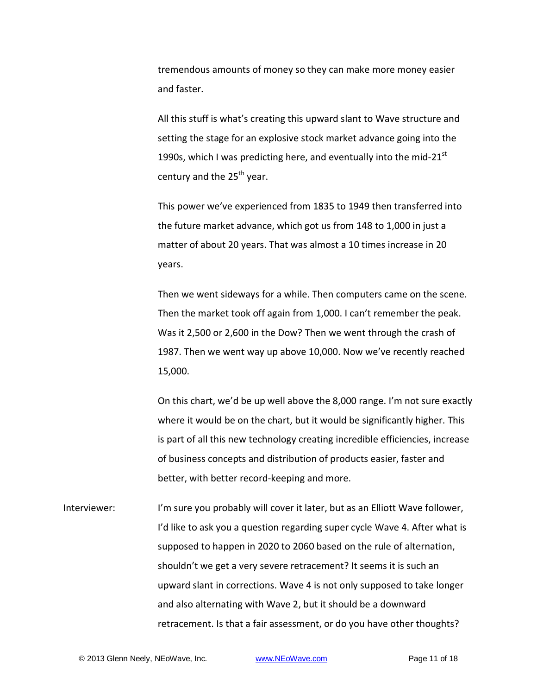tremendous amounts of money so they can make more money easier and faster.

All this stuff is what's creating this upward slant to Wave structure and setting the stage for an explosive stock market advance going into the 1990s, which I was predicting here, and eventually into the mid-21 $^{\rm st}$ century and the 25<sup>th</sup> year.

This power we've experienced from 1835 to 1949 then transferred into the future market advance, which got us from 148 to 1,000 in just a matter of about 20 years. That was almost a 10 times increase in 20 years.

Then we went sideways for a while. Then computers came on the scene. Then the market took off again from 1,000. I can't remember the peak. Was it 2,500 or 2,600 in the Dow? Then we went through the crash of 1987. Then we went way up above 10,000. Now we've recently reached 15,000.

On this chart, we'd be up well above the 8,000 range. I'm not sure exactly where it would be on the chart, but it would be significantly higher. This is part of all this new technology creating incredible efficiencies, increase of business concepts and distribution of products easier, faster and better, with better record-keeping and more.

Interviewer: I'm sure you probably will cover it later, but as an Elliott Wave follower, I'd like to ask you a question regarding super cycle Wave 4. After what is supposed to happen in 2020 to 2060 based on the rule of alternation, shouldn't we get a very severe retracement? It seems it is such an upward slant in corrections. Wave 4 is not only supposed to take longer and also alternating with Wave 2, but it should be a downward retracement. Is that a fair assessment, or do you have other thoughts?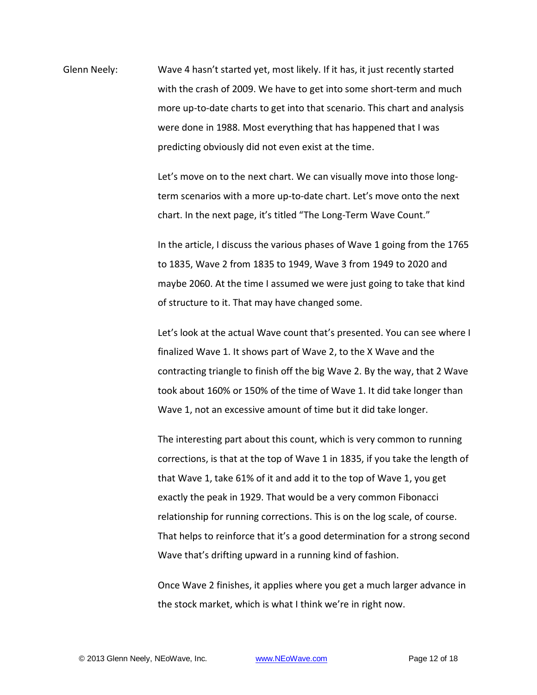Glenn Neely: Wave 4 hasn't started yet, most likely. If it has, it just recently started with the crash of 2009. We have to get into some short-term and much more up-to-date charts to get into that scenario. This chart and analysis were done in 1988. Most everything that has happened that I was predicting obviously did not even exist at the time.

> Let's move on to the next chart. We can visually move into those longterm scenarios with a more up-to-date chart. Let's move onto the next chart. In the next page, it's titled "The Long-Term Wave Count."

In the article, I discuss the various phases of Wave 1 going from the 1765 to 1835, Wave 2 from 1835 to 1949, Wave 3 from 1949 to 2020 and maybe 2060. At the time I assumed we were just going to take that kind of structure to it. That may have changed some.

Let's look at the actual Wave count that's presented. You can see where I finalized Wave 1. It shows part of Wave 2, to the X Wave and the contracting triangle to finish off the big Wave 2. By the way, that 2 Wave took about 160% or 150% of the time of Wave 1. It did take longer than Wave 1, not an excessive amount of time but it did take longer.

The interesting part about this count, which is very common to running corrections, is that at the top of Wave 1 in 1835, if you take the length of that Wave 1, take 61% of it and add it to the top of Wave 1, you get exactly the peak in 1929. That would be a very common Fibonacci relationship for running corrections. This is on the log scale, of course. That helps to reinforce that it's a good determination for a strong second Wave that's drifting upward in a running kind of fashion.

Once Wave 2 finishes, it applies where you get a much larger advance in the stock market, which is what I think we're in right now.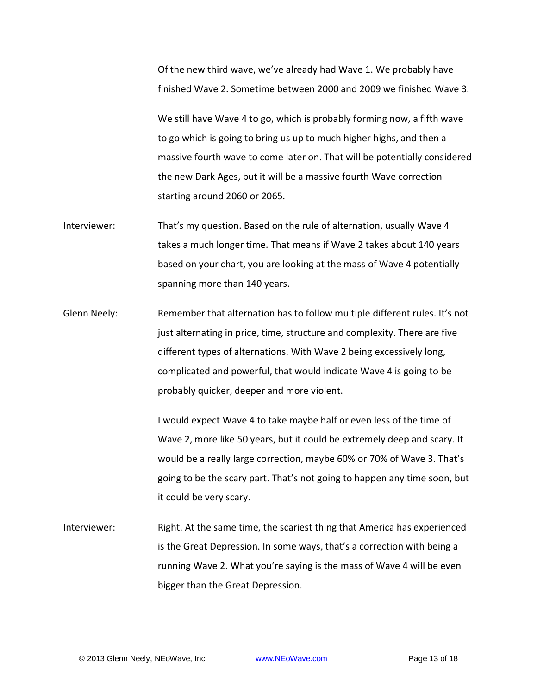Of the new third wave, we've already had Wave 1. We probably have finished Wave 2. Sometime between 2000 and 2009 we finished Wave 3.

We still have Wave 4 to go, which is probably forming now, a fifth wave to go which is going to bring us up to much higher highs, and then a massive fourth wave to come later on. That will be potentially considered the new Dark Ages, but it will be a massive fourth Wave correction starting around 2060 or 2065.

- Interviewer: That's my question. Based on the rule of alternation, usually Wave 4 takes a much longer time. That means if Wave 2 takes about 140 years based on your chart, you are looking at the mass of Wave 4 potentially spanning more than 140 years.
- Glenn Neely: Remember that alternation has to follow multiple different rules. It's not just alternating in price, time, structure and complexity. There are five different types of alternations. With Wave 2 being excessively long, complicated and powerful, that would indicate Wave 4 is going to be probably quicker, deeper and more violent.

I would expect Wave 4 to take maybe half or even less of the time of Wave 2, more like 50 years, but it could be extremely deep and scary. It would be a really large correction, maybe 60% or 70% of Wave 3. That's going to be the scary part. That's not going to happen any time soon, but it could be very scary.

Interviewer: Right. At the same time, the scariest thing that America has experienced is the Great Depression. In some ways, that's a correction with being a running Wave 2. What you're saying is the mass of Wave 4 will be even bigger than the Great Depression.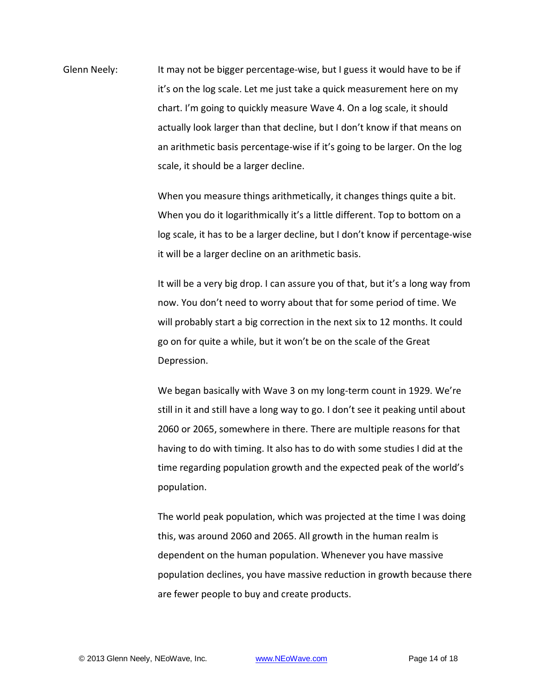Glenn Neely: It may not be bigger percentage-wise, but I guess it would have to be if it's on the log scale. Let me just take a quick measurement here on my chart. I'm going to quickly measure Wave 4. On a log scale, it should actually look larger than that decline, but I don't know if that means on an arithmetic basis percentage-wise if it's going to be larger. On the log scale, it should be a larger decline.

> When you measure things arithmetically, it changes things quite a bit. When you do it logarithmically it's a little different. Top to bottom on a log scale, it has to be a larger decline, but I don't know if percentage-wise it will be a larger decline on an arithmetic basis.

> It will be a very big drop. I can assure you of that, but it's a long way from now. You don't need to worry about that for some period of time. We will probably start a big correction in the next six to 12 months. It could go on for quite a while, but it won't be on the scale of the Great Depression.

We began basically with Wave 3 on my long-term count in 1929. We're still in it and still have a long way to go. I don't see it peaking until about 2060 or 2065, somewhere in there. There are multiple reasons for that having to do with timing. It also has to do with some studies I did at the time regarding population growth and the expected peak of the world's population.

The world peak population, which was projected at the time I was doing this, was around 2060 and 2065. All growth in the human realm is dependent on the human population. Whenever you have massive population declines, you have massive reduction in growth because there are fewer people to buy and create products.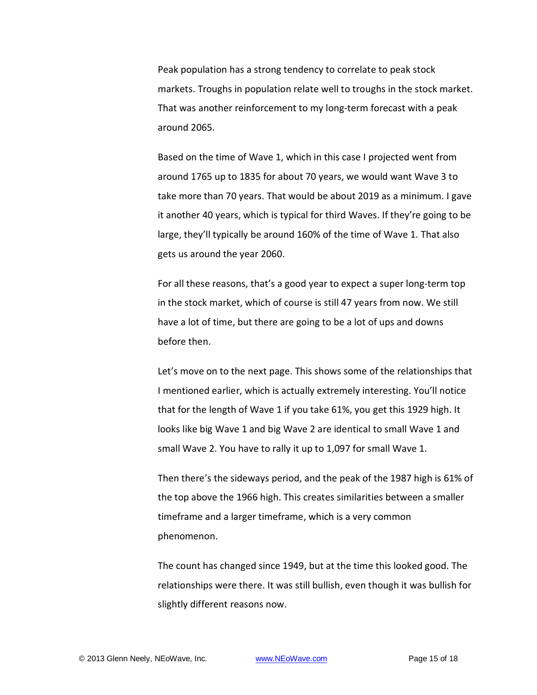Peak population has a strong tendency to correlate to peak stock markets. Troughs in population relate well to troughs in the stock market. That was another reinforcement to my long-term forecast with a peak around 2065.

Based on the time of Wave 1, which in this case I projected went from around 1765 up to 1835 for about 70 years, we would want Wave 3 to take more than 70 years. That would be about 2019 as a minimum. I gave it another 40 years, which is typical for third Waves. If they're going to be large, they'll typically be around 160% of the time of Wave 1. That also gets us around the year 2060.

For all these reasons, that's a good year to expect a super long-term top in the stock market, which of course is still 47 years from now. We still have a lot of time, but there are going to be a lot of ups and downs before then.

Let's move on to the next page. This shows some of the relationships that I mentioned earlier, which is actually extremely interesting. You'll notice that for the length of Wave 1 if you take 61%, you get this 1929 high. It looks like big Wave 1 and big Wave 2 are identical to small Wave 1 and small Wave 2. You have to rally it up to 1,097 for small Wave 1.

Then there's the sideways period, and the peak of the 1987 high is 61% of the top above the 1966 high. This creates similarities between a smaller timeframe and a larger timeframe, which is a very common phenomenon.

The count has changed since 1949, but at the time this looked good. The relationships were there. It was still bullish, even though it was bullish for slightly different reasons now.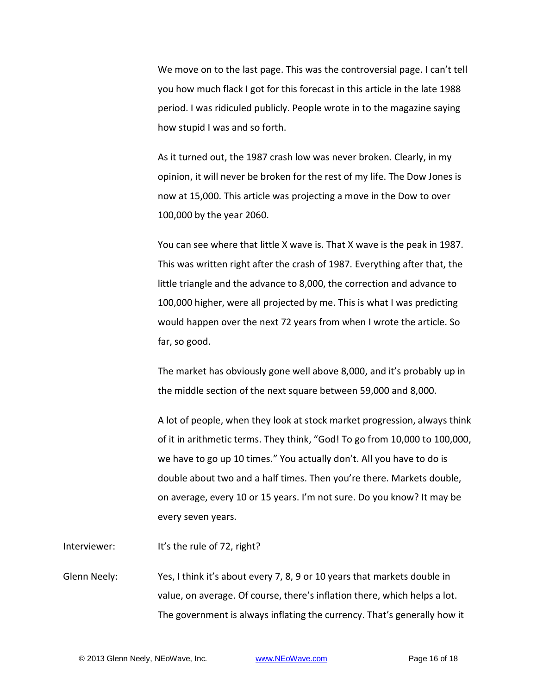We move on to the last page. This was the controversial page. I can't tell you how much flack I got for this forecast in this article in the late 1988 period. I was ridiculed publicly. People wrote in to the magazine saying how stupid I was and so forth.

As it turned out, the 1987 crash low was never broken. Clearly, in my opinion, it will never be broken for the rest of my life. The Dow Jones is now at 15,000. This article was projecting a move in the Dow to over 100,000 by the year 2060.

You can see where that little X wave is. That X wave is the peak in 1987. This was written right after the crash of 1987. Everything after that, the little triangle and the advance to 8,000, the correction and advance to 100,000 higher, were all projected by me. This is what I was predicting would happen over the next 72 years from when I wrote the article. So far, so good.

The market has obviously gone well above 8,000, and it's probably up in the middle section of the next square between 59,000 and 8,000.

A lot of people, when they look at stock market progression, always think of it in arithmetic terms. They think, "God! To go from 10,000 to 100,000, we have to go up 10 times." You actually don't. All you have to do is double about two and a half times. Then you're there. Markets double, on average, every 10 or 15 years. I'm not sure. Do you know? It may be every seven years.

Interviewer: It's the rule of 72, right?

Glenn Neely: Yes, I think it's about every 7, 8, 9 or 10 years that markets double in value, on average. Of course, there's inflation there, which helps a lot. The government is always inflating the currency. That's generally how it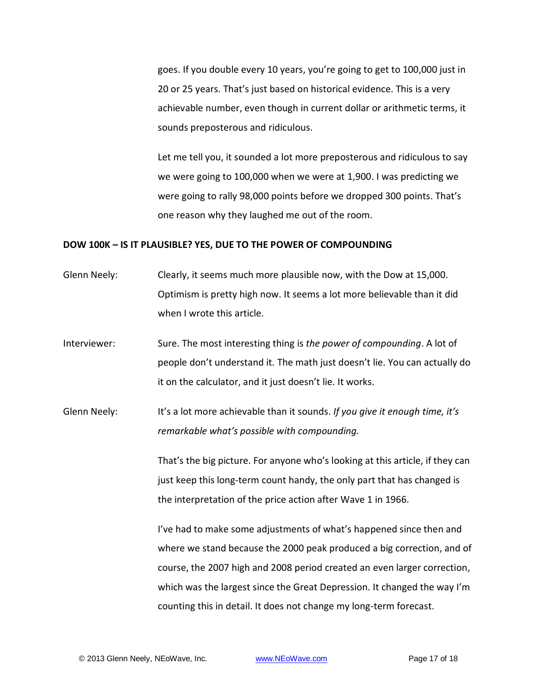goes. If you double every 10 years, you're going to get to 100,000 just in 20 or 25 years. That's just based on historical evidence. This is a very achievable number, even though in current dollar or arithmetic terms, it sounds preposterous and ridiculous.

Let me tell you, it sounded a lot more preposterous and ridiculous to say we were going to 100,000 when we were at 1,900. I was predicting we were going to rally 98,000 points before we dropped 300 points. That's one reason why they laughed me out of the room.

### **DOW 100K – IS IT PLAUSIBLE? YES, DUE TO THE POWER OF COMPOUNDING**

- Glenn Neely: Clearly, it seems much more plausible now, with the Dow at 15,000. Optimism is pretty high now. It seems a lot more believable than it did when I wrote this article.
- Interviewer: Sure. The most interesting thing is *the power of compounding*. A lot of people don't understand it. The math just doesn't lie. You can actually do it on the calculator, and it just doesn't lie. It works.
- Glenn Neely: It's a lot more achievable than it sounds. *If you give it enough time, it's remarkable what's possible with compounding.*

That's the big picture. For anyone who's looking at this article, if they can just keep this long-term count handy, the only part that has changed is the interpretation of the price action after Wave 1 in 1966.

I've had to make some adjustments of what's happened since then and where we stand because the 2000 peak produced a big correction, and of course, the 2007 high and 2008 period created an even larger correction, which was the largest since the Great Depression. It changed the way I'm counting this in detail. It does not change my long-term forecast.